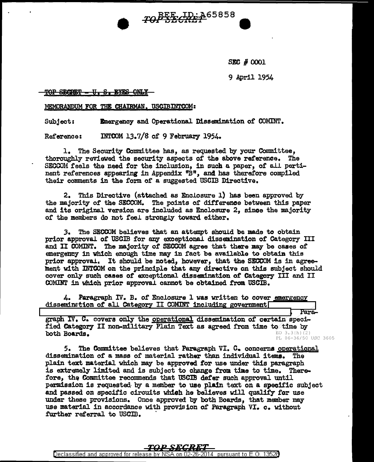**SEC # 0001** 

9 April 1954

Para-

### TOP SECRET - U. S. EYES ONLY

MEMORANDUM FOR THE CHATRMAN. USCIBINTCOM:

Emergency and Operational Dissemination of COMINT. Subject:

INTCOM 13.7/8 of 9 February 1954. Reference:

1. The Security Committee has, as requested by your Committee, thoroughly reviewed the security aspects of the above reference. The SECCOM feels the need for the inclusion, in such a paper, of all pertinent references appearing in Appendix "B", and has therefore compiled their comments in the form of a suggested USCIB Directive.

TOPSE ID: A65858

2. This Directive (attached as Enclosure 1) has been approved by the majority of the SECCOM. The points of difference between this paper and its original version are included as Enclosure 2. since the majority of the members do not feel strongly toward either.

The SECCOM believes that an attempt should be made to obtain  $3.$ prior approval of USCIB for any exceptional dissemination of Category III and II COMINT. The majority of SECCOM agree that there may be cases of emergency in which enough time may in fact be available to obtain this prior approval. It should be noted, however, that the SECCOM is in agreement with INTCOM on the principle that any directive on this subject should cover only such cases of exceptional dissemination of Category III and II COMINT in which prior approval cannot be obtained from USCIB.

4. Paragraph IV. B. of Enclosure 1 was written to cover emergency dissemination of all Category II COMINT including government

graph IV. C. covers only the operational dissemination of certain specified Category II non-military Plain Text as agreed from time to time by  $EO$  3.3(h)(2) both Boards. PL 86-36/50 USC 3605

5. . The Committee believes that Paragraph VI. C. concerns operational dissemination of a mass of material rather than individual items. The plain text material which may be approved for use under this paragraph is extremely limited and is subject to change from time to time. Therefore, the Committee recommends that USCIB defer such approval until permission is requested by a member to use plain text on a specific subject and passed on specific circuits which he believes will qualify for use under these provisions. Once approved by both Boards, that member may use material in accordance with provision of Paragraph VI. c. without further referral to USCIB.

### *TOP SECRET*

Declassified and approved for release by NSA on 02-26-2014 pursuant to E.O. 13528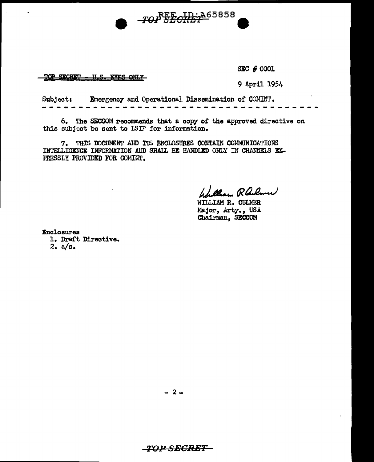

TOP SECRET - U.S. EYES ONLY

SEC # 0001

9 April 1954

Subject: Emergency and Operational Dissemination of COMINT.

6. The SECCOM recommends that a copy of the approved directive on this subject be sent to ISIP for information.

7. THIS DOCUMENT AID ITS ENCLOSURES CONTAIN COMMUNICATIONS INTELLIGENCE INFORMATION AND SHALL BE HANDLED ONLY IN CHANNELS EX-PRESSLY PROVIDED FOR COMINT.

Wallam Railwar

WILLIAM R. CULMER Major, Arty., USA Chairman, SECCOM

Enclosures 1. Draft Directive.  $2. a/s.$ 

 $-2-$ 

# *-TOP SECRET –*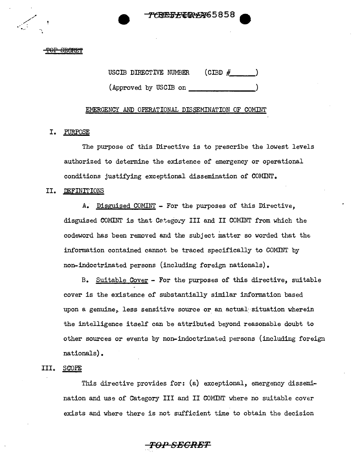FREF<del>FIDY</del>Y65858

#### P<del>OP SECRET</del>

### USCIB DIRECTIVE NUMBER  $(CIBD \#$

(Approved by USCIB on \_\_\_\_\_\_\_\_ )

### EMERGENCY AND OPERATIONAL DISSEMINATION OF COMINT

### I. PURPOSE

The purpose of this Directive is to prescribe the lowest levels authorized to determine the existence of emergency or operational conditions justifying exceptional dissemination of COMINT.

### II. DEFINITIONS

A. Disguised COMINT - For the purposes of this Directive, disguised COMINT is that Category III and II COMINT from which the codeword has been removed and the subject matter so worded that the information contained cannot be traced specifically to COMINT by non-indoctrinated persons (including foreign nationals).

B. Suitable Cover - For the purposes of this directive, suitable cover is the existence of substantially similar information based upon a genuine, less sensitive source or an actual situation wherein the intelligence itself can be attributed beyond reasonable doubt to other sources or events by non-indoctrinated persons (including foreign nationals).

### III. SCOPE

This directive provides for: (a) exceptional, emergency dissemination and use of Category III and II COMINT where no suitable cover exists and where there is not sufficient time to obtain the decision

*TOP SECRET*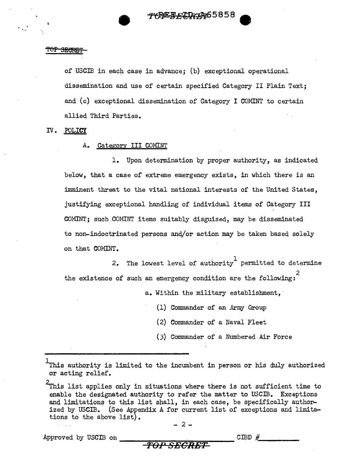### TOP 3ECRET

of USCIB in each case in advance; (b) exceptional operational dissemination and use of certain specified Category II Plain Text; and (c) exceptional dissemination of Category I COMINT to certain allied Third Parties.

IV. POLICY

### A. Category III COMINT

1. Upon determination by proper authority, as indicated below, that a case of extreme emergency exists, in which there is an imminent threat to the vital national interests of the United States, justifying exceptional handling of individual items of Category III COMINT; such COMINT items suitably disguised, may be disseminated to non-indoctrinated persons and/or action may be taken based solely on that COMINT.

2. The lowest level of authority<sup>1</sup> permitted to determine the existence of such an emergency condition are the following:

a. Within the military establishment,

(1) Commander of an Army Group

 $(2)$  Commander of a Naval Fleet

(3) Commander of a Numbered Air Force

 $\overline{\phantom{a}}$  .

*TOP SECRET* 

Approved by USCIB on  $\overline{C}$   $\overline{C}$   $\overline{C}$   $\overline{C}$   $\overline{C}$   $\overline{C}$   $\overline{C}$   $\overline{C}$   $\overline{C}$   $\overline{C}$   $\overline{C}$   $\overline{C}$   $\overline{C}$   $\overline{C}$   $\overline{C}$   $\overline{C}$   $\overline{C}$   $\overline{C}$   $\overline{C}$   $\overline{C}$   $\overline{C}$   $\overline{C}$   $\$ 

 $^{\rm 1}$ This authority is limited to the incumbent in person or his duly authorized or acting relief.

 $2$ This list applies only in situations where there is not sufficient time to enable the designated authority to refer the matter to USCIB. Exceptions and limitations to this list shall, in each case, be specifically authorized by USCIB. (See Appendix A for current list of exceptions and limitations to the above list).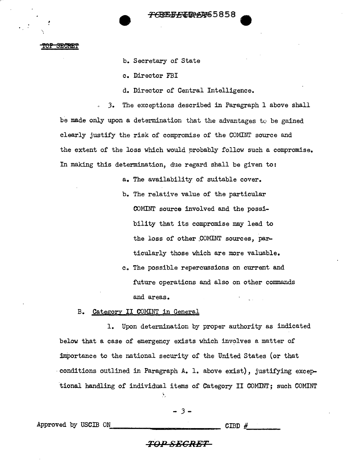<del>76REFÆID1</del>4465858

#### TOP SECRET

b. Secretary of State

c. Director FBI

d. Director of Central Intelligence.

*3.* The exceptions described in Paragraph 1 above shall be made only upon a determination that the advantages to be gained clearly justify the risk of compromise of the COMINT source and the extent of the loss which would probably follow such a compromise. In making this determination, due regard shall be given to:

a. The availability of suitable cover.

- b. The relative value of the particular OOMINT source involved and the possibility that its compromise may lead to the loss of other COMINT sources, particularly those which are more valuable.
- c. The possible repercussions on current and future operations and also on other commands and areas.

B. Category II COMINT in General

1. Upon determination by proper authority as indicated below that a case of emergency exists which involves a matter of importance to the national security of the United States (or that -conditions outlined in Paragraph A. 1. above exist), justifying excep- -tional handling of individual items of Category II COMINT; such COMINT Ă.

### - *3* -

Approved by USCIB ON-------------- CIBD #\_\_\_ \_

### **TO,PSECRET**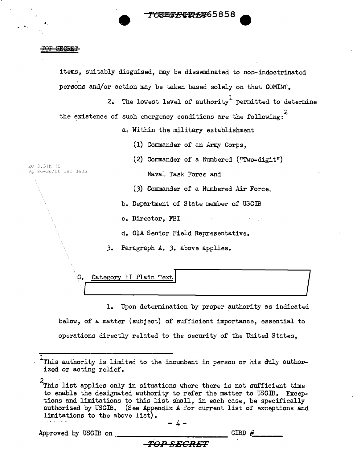<del>CRET*E* C</del>OPER65858

#### TQP **SECRET**

'·

items, suitably disguised, may be disseminated to non-indoctrinated persons and/or action may be taken based solely on that  $COMINT<sub>o</sub>$ 2. The lowest level of authority<sup>1</sup> permitted to determine the existence of such emergency conditions are the following: a. Within the military establishment (1) Commander of an Army Corps, (2) Commander of a Numbered ("Two-digit") EO 3.3(h)(2)<br>PL 86-36/50 USC 3605 Naval Task Force and  $(3)$  Commander of a Numbered Air Force. b. Department of State member of USCIB c. Director, FBI d. CIA Senior Field Representative. J. Paragraph A. J. above applies. C. <u>Category II Plain Text (International Contract</u> of the Category II Plain Text (International Contract) 3. Paragraph A. 3. above applies.<br>
.egory II Plain Text<br>
1. Upon determination by proper authority as indicated

C. Category II Plain Text

1. Upon determination by proper authority as indicated below, of a matter (subject) of sufficient importance, essential to operations directly related to the security of the United States,

2<br>This list applies only in situations where there is not sufficient time to enable the designated authority to refer the matter to USCIB. Exceptions and limitations to this list shall, in each case, be specifically authorized by USCIB. (See Appendix A for current list of exceptions and limitations to the above list).

 $- 4-$ 

**TOl18ECRET** 

Approved by USCIB on ------------ CIBD #\_.\_ \_

<sup>1</sup> This authority is limited to the incumbent in person or his duly author-<br>ized or acting relief.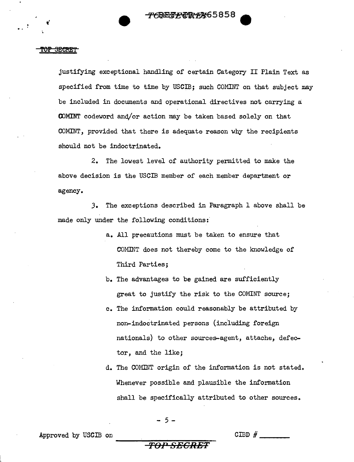#### <del>TOP SECRE</del>T

justifying exceptional handling of certain Category II Plain Text as specified from time to time by USCIB; such COMINT on that subject may be included in documents and operational directives not carrying a (X)MINT codeword and/or action may be taken based solely on that COMINT, provided that there is adequate reason why the recipients should not be indoctrinated.

2. The lowest level of authority permitted to make the above decision is the USCIB member of each member department or agency.

J. The exceptions described in Paragraph 1 above shall be made only under the following conditions:

- a. All precautions must be taken to ensure that COMINT does not thereby come to the knowledge of Third Parties;
- b. The advantages to be gained are sufficiently great to justify the risk to the COMINT source;
- c. The information could reasonably be attributed by non-indoctrinated persons (including foreign nationals) to other sources-agent, attache, defector, and the like;
- d. The COMINT origin of the information is not stated. Whenever possible and plausible the information shall be specifically attributed to other sources.

- 5 -

Approved by USCIB on  $\Box$ 

**TOP SECRET**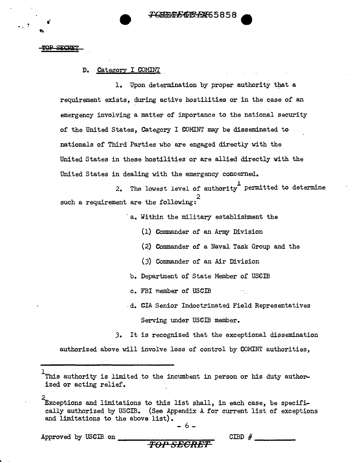

**OP SECRET** 

.. **t'** 

D. Category I COMINT

1. Upon determination by proper authority that a requirement exists, during active hostilities or in the case of an emergency involving a matter of importance to the national security of the United States, Category I COMINT may be disseminated to nationals of Third Parties who are engaged directly with the United States in these hostilities or are allied directly with the United States in dealing with the emergency concerned.

2. The lowest level of authority permitted to determine such a requirement are the following:

a. Within the military establishment the

- (1) Commander of an Army Division
- $(2)$  Commander of a Naval Task Group and the
- (.3) Commander of an Air Division
- b. Department of State Member of USCID
- c. FBI member of USCIB
- .d. CIA Senior Indoctrinated Field Representatives Serving under USCIB member.
- .3. It is recognized that the exceptional dissemination

authorized above will involve loss of control by COMINT authorities,

I This authority is limited to the incumbent in person or his duty author-<br>ized or acting relief.

Exceptions and limitations to this list shall, in each case, be specifically authorized by USCID. (See Appendix A for current list of exceptions and limitations to the above list).

$$
-6 -
$$

Approved by USCm on -------........ ..\_........,"""""'.\_ *TO.PSECRET* 

CIBD  $#$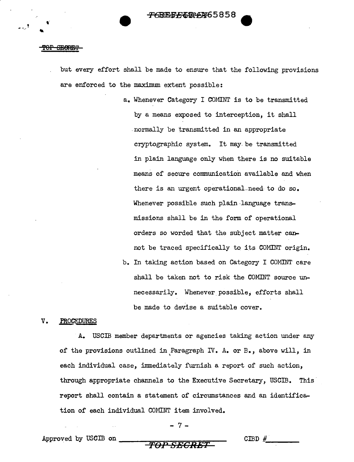#### **SECREP**

.<br>م

but every effort shall be made to ensure that the following provisions are enforced to the maximum extent possible:

- a. Whenever Category I COMINT is to be transmitted by a means exposed to interception, it shall .normally be transmitted in an appropriate cryptographic system. It may. be transmitted in plain language only when there is no suitable means of secure communication available and when there is an urgent operational need to do so. Whenever possible such plain language transmissions shall be in the form of operational orders so worded that the subject matter cannot be traced specifically to its COMINT origin.
- b. In taking action based on Category I COMINT care shall be taken not to risk the COMINT source unnecessarily. Whenever possible, efforts shall be made to devise a suitable cover.

#### V. PROCEDURES

A. USCIB member departments or agencies taking action under any of the provisions outlined in Paragraph IV. A. or B., above will, in ' each individual case, immediately furnish a report of such action, through appropriate channels to the Executive Secretary, USCIB. This· report shall contain a statement of circumstances and an identification of each individual CONINT item involved.

- 7 -

CIBD  $#$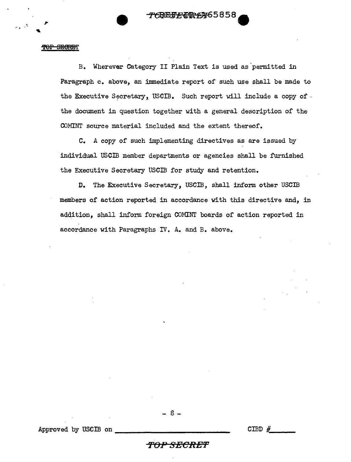$T$ GREF $E$ GREF $E$ GREF $E$ AN 65858 $\bullet$ 

#### TOP SECRET

B. Wherever Category II Plain Text is used as'permitted in Paragraph c. above, an immediate report of such use shall be made to the Executive Secretary, USCIB. Such report will include a copy of  $\cdot$ the document in question together with a general description of the COMINT source material included and the extent thereof.

C. A copy of such implementing directives as are issued by individual USCIB member departments or agencies shall be furnished the Executive Secretary USCIB for study and retention.

D. The Executive Secretary, USCIB, shall inform other USCIB members of action reported in accordance with this directive and, in addition, shall inform foreign COMINT boards of action reported in accordance with Paragraphs IV. A. and B. above.

Approved by USCIB on  $\overline{\qquad}$  CIBD  $\#$ 

### - 8 -

*TOPSECRE'F*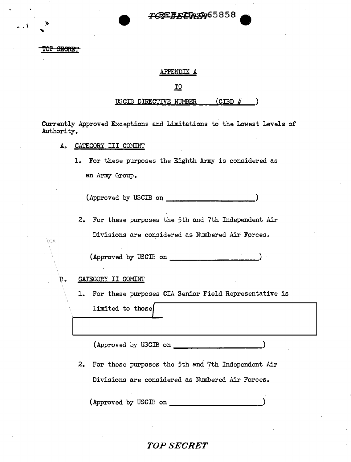# TCREFLIDUAG5858

OP SECRET

OGA

### APPENDIX A

### .IQ

### USCIB DIRECTIVE NUMBER $\qquad$  (CIBD  $#$

Currently Approved Exceptions and Limitations to the Lowest Levels of Authority.

- A. CATEGORY III COMINT
	- 1. For these purposes the Eighth Army is considered as an Army Group.

(Approved by USCIB on \_\_\_\_\_\_\_\_\_\_ )

2. For these purposes the 5th and 7th Independent Air Divisions are considered as Nmnbered Air Forces.

(Approved by USCIB on  $\blacksquare$ 

B. CATEGORY II COMINT

1. For these purposes CIA Senior Field Representative is

limited to those{

(Approved by USCIB on \_\_\_\_\_\_\_\_\_\_ )

2. For these purposes the 5th and 7th Independent Air Divisions are considered as Nmnbered Air Forces.

(Approved by USCIB on \_

# TOP SECRET